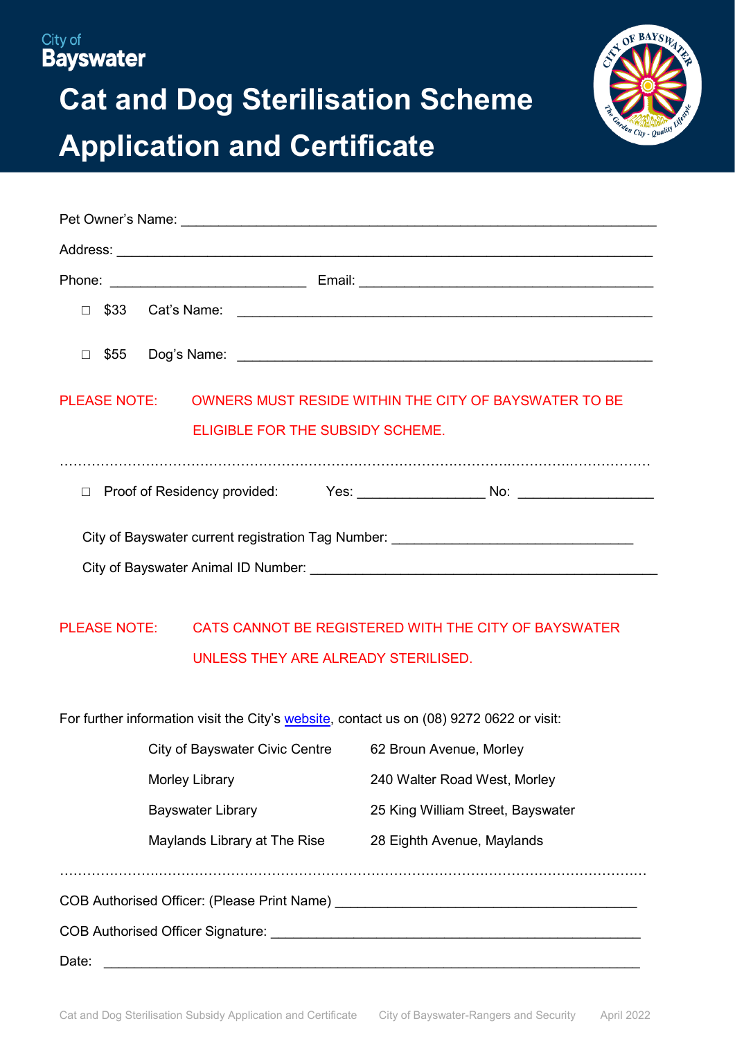## City of **Bayswater**

# **Cat and Dog Sterilisation Scheme Application and Certificate**



| $\Box$ |                                         |                                                                                  |  |
|--------|-----------------------------------------|----------------------------------------------------------------------------------|--|
|        | <b>ELIGIBLE FOR THE SUBSIDY SCHEME.</b> | PLEASE NOTE: OWNERS MUST RESIDE WITHIN THE CITY OF BAYSWATER TO BE               |  |
|        |                                         |                                                                                  |  |
|        |                                         | City of Bayswater current registration Tag Number: _____________________________ |  |
|        |                                         |                                                                                  |  |

## PLEASE NOTE: CATS CANNOT BE REGISTERED WITH THE CITY OF BAYSWATER UNLESS THEY ARE ALREADY STERILISED.

For further information visit the City's [website,](https://www.bayswater.wa.gov.au/community/rangers-and-security/pets-and-animals) contact us on (08) 9272 0622 or visit:

|                                                                                              | City of Bayswater Civic Centre | 62 Broun Avenue, Morley           |  |  |  |
|----------------------------------------------------------------------------------------------|--------------------------------|-----------------------------------|--|--|--|
| Morley Library                                                                               |                                | 240 Walter Road West, Morley      |  |  |  |
| <b>Bayswater Library</b>                                                                     |                                | 25 King William Street, Bayswater |  |  |  |
|                                                                                              | Maylands Library at The Rise   | 28 Eighth Avenue, Maylands        |  |  |  |
|                                                                                              |                                |                                   |  |  |  |
| COB Authorised Officer: (Please Print Name)                                                  |                                |                                   |  |  |  |
| COB Authorised Officer Signature: University of Authorised COB Authorised Officer Signature: |                                |                                   |  |  |  |
| Date:                                                                                        |                                |                                   |  |  |  |